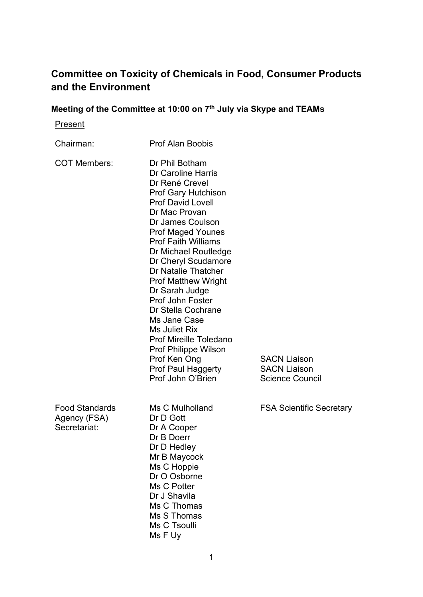# **Committee on Toxicity of Chemicals in Food, Consumer Products and the Environment**

# **Meeting of the Committee at 10:00 on 7th July via Skype and TEAMs**

**Present** 

| Chairman:                                             | <b>Prof Alan Boobis</b>                                                                                                                                                                                                                                                                                                                                                                                                                                                                                                                            |                                                                      |
|-------------------------------------------------------|----------------------------------------------------------------------------------------------------------------------------------------------------------------------------------------------------------------------------------------------------------------------------------------------------------------------------------------------------------------------------------------------------------------------------------------------------------------------------------------------------------------------------------------------------|----------------------------------------------------------------------|
| <b>COT Members:</b>                                   | Dr Phil Botham<br>Dr Caroline Harris<br>Dr René Crevel<br>Prof Gary Hutchison<br><b>Prof David Lovell</b><br>Dr Mac Provan<br>Dr James Coulson<br><b>Prof Maged Younes</b><br><b>Prof Faith Williams</b><br>Dr Michael Routledge<br>Dr Cheryl Scudamore<br>Dr Natalie Thatcher<br><b>Prof Matthew Wright</b><br>Dr Sarah Judge<br><b>Prof John Foster</b><br>Dr Stella Cochrane<br>Ms Jane Case<br>Ms Juliet Rix<br><b>Prof Mireille Toledano</b><br><b>Prof Philippe Wilson</b><br>Prof Ken Ong<br><b>Prof Paul Haggerty</b><br>Prof John O'Brien | <b>SACN Liaison</b><br><b>SACN Liaison</b><br><b>Science Council</b> |
| <b>Food Standards</b><br>Agency (FSA)<br>Secretariat: | Ms C Mulholland<br>Dr D Gott<br>Dr A Cooper<br>Dr B Doerr<br>Dr D Hedley<br>Mr B Maycock<br>Ms C Hoppie<br>Dr O Osborne<br>Ms C Potter<br>Dr J Shavila<br>Ms C Thomas<br>Ms S Thomas<br>Ms C Tsoulli<br>Ms F Uy                                                                                                                                                                                                                                                                                                                                    | <b>FSA Scientific Secretary</b>                                      |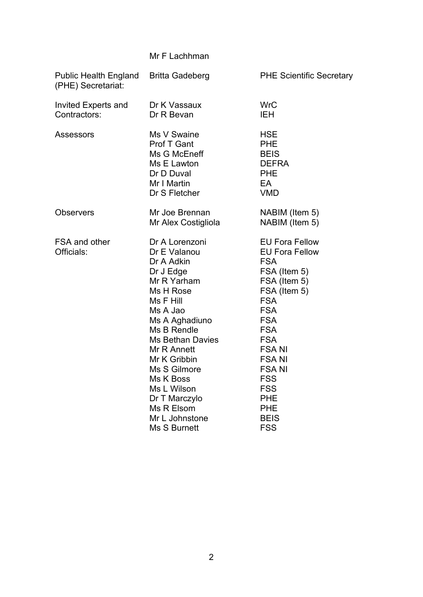|                                             | Mr F Lachhman                                                                                                                                                                                                                                                                                                                 |                                                                                                                                                                                                                                                                                                                         |  |
|---------------------------------------------|-------------------------------------------------------------------------------------------------------------------------------------------------------------------------------------------------------------------------------------------------------------------------------------------------------------------------------|-------------------------------------------------------------------------------------------------------------------------------------------------------------------------------------------------------------------------------------------------------------------------------------------------------------------------|--|
| Public Health England<br>(PHE) Secretariat: | <b>Britta Gadeberg</b>                                                                                                                                                                                                                                                                                                        | <b>PHE Scientific Secretary</b>                                                                                                                                                                                                                                                                                         |  |
| Invited Experts and<br>Contractors:         | Dr K Vassaux<br>Dr R Bevan                                                                                                                                                                                                                                                                                                    | <b>WrC</b><br><b>IEH</b>                                                                                                                                                                                                                                                                                                |  |
| Assessors                                   | Ms V Swaine<br>Prof T Gant<br>Ms G McEneff<br>Ms E Lawton<br>Dr D Duval<br>Mr I Martin<br>Dr S Fletcher                                                                                                                                                                                                                       | <b>HSE</b><br><b>PHE</b><br><b>BEIS</b><br><b>DEFRA</b><br><b>PHE</b><br>EA<br><b>VMD</b>                                                                                                                                                                                                                               |  |
| <b>Observers</b>                            | Mr Joe Brennan<br>Mr Alex Costigliola                                                                                                                                                                                                                                                                                         | NABIM (Item 5)<br>NABIM (Item 5)                                                                                                                                                                                                                                                                                        |  |
| FSA and other<br>Officials:                 | Dr A Lorenzoni<br>Dr E Valanou<br>Dr A Adkin<br>Dr J Edge<br>Mr R Yarham<br>Ms H Rose<br>Ms F Hill<br>Ms A Jao<br>Ms A Aghadiuno<br>Ms B Rendle<br><b>Ms Bethan Davies</b><br>Mr R Annett<br>Mr K Gribbin<br>Ms S Gilmore<br>Ms K Boss<br>Ms L Wilson<br>Dr T Marczylo<br>Ms R Elsom<br>Mr L Johnstone<br><b>Ms S Burnett</b> | <b>EU Fora Fellow</b><br><b>EU Fora Fellow</b><br><b>FSA</b><br>FSA (Item 5)<br>FSA (Item 5)<br>FSA (Item 5)<br><b>FSA</b><br><b>FSA</b><br><b>FSA</b><br><b>FSA</b><br><b>FSA</b><br><b>FSANI</b><br><b>FSANI</b><br><b>FSANI</b><br><b>FSS</b><br><b>FSS</b><br><b>PHE</b><br><b>PHE</b><br><b>BEIS</b><br><b>FSS</b> |  |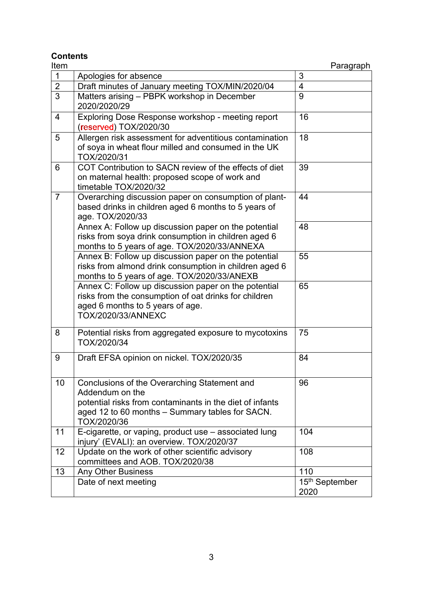**Contents**

| Item           |                                                                                                                                                                                               | Paragraph                          |
|----------------|-----------------------------------------------------------------------------------------------------------------------------------------------------------------------------------------------|------------------------------------|
| $\mathbf{1}$   | Apologies for absence                                                                                                                                                                         | 3                                  |
| $\overline{2}$ | Draft minutes of January meeting TOX/MIN/2020/04                                                                                                                                              | 4                                  |
| $\overline{3}$ | Matters arising - PBPK workshop in December<br>2020/2020/29                                                                                                                                   | 9                                  |
| 4              | Exploring Dose Response workshop - meeting report<br>(reserved) TOX/2020/30                                                                                                                   | 16                                 |
| 5              | Allergen risk assessment for adventitious contamination<br>of soya in wheat flour milled and consumed in the UK<br>TOX/2020/31                                                                | 18                                 |
| 6              | COT Contribution to SACN review of the effects of diet<br>on maternal health: proposed scope of work and<br>timetable TOX/2020/32                                                             | 39                                 |
| $\overline{7}$ | Overarching discussion paper on consumption of plant-<br>based drinks in children aged 6 months to 5 years of<br>age. TOX/2020/33                                                             | 44                                 |
|                | Annex A: Follow up discussion paper on the potential<br>risks from soya drink consumption in children aged 6<br>months to 5 years of age. TOX/2020/33/ANNEXA                                  | 48                                 |
|                | Annex B: Follow up discussion paper on the potential<br>risks from almond drink consumption in children aged 6<br>months to 5 years of age. TOX/2020/33/ANEXB                                 | 55                                 |
|                | Annex C: Follow up discussion paper on the potential<br>risks from the consumption of oat drinks for children<br>aged 6 months to 5 years of age.<br>TOX/2020/33/ANNEXC                       | 65                                 |
| 8              | Potential risks from aggregated exposure to mycotoxins<br>TOX/2020/34                                                                                                                         | 75                                 |
| 9              | Draft EFSA opinion on nickel. TOX/2020/35                                                                                                                                                     | 84                                 |
| 10             | Conclusions of the Overarching Statement and<br>Addendum on the<br>potential risks from contaminants in the diet of infants<br>aged 12 to 60 months - Summary tables for SACN.<br>TOX/2020/36 | 96                                 |
| 11             | E-cigarette, or vaping, product use - associated lung<br>injury' (EVALI): an overview. TOX/2020/37                                                                                            | 104                                |
| 12             | Update on the work of other scientific advisory<br>committees and AOB. TOX/2020/38                                                                                                            | 108                                |
| 13             | <b>Any Other Business</b>                                                                                                                                                                     | 110                                |
|                | Date of next meeting                                                                                                                                                                          | 15 <sup>th</sup> September<br>2020 |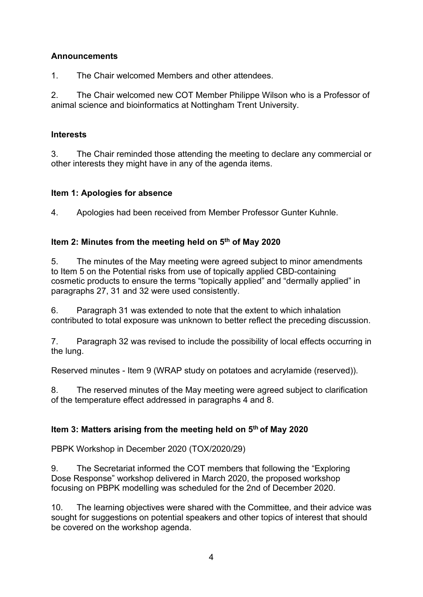# **Announcements**

1. The Chair welcomed Members and other attendees.

2. The Chair welcomed new COT Member Philippe Wilson who is a Professor of animal science and bioinformatics at Nottingham Trent University.

# **Interests**

3. The Chair reminded those attending the meeting to declare any commercial or other interests they might have in any of the agenda items.

# **Item 1: Apologies for absence**

4. Apologies had been received from Member Professor Gunter Kuhnle.

# **Item 2: Minutes from the meeting held on 5th of May 2020**

5. The minutes of the May meeting were agreed subject to minor amendments to Item 5 on the Potential risks from use of topically applied CBD-containing cosmetic products to ensure the terms "topically applied" and "dermally applied" in paragraphs 27, 31 and 32 were used consistently.

6. Paragraph 31 was extended to note that the extent to which inhalation contributed to total exposure was unknown to better reflect the preceding discussion.

7. Paragraph 32 was revised to include the possibility of local effects occurring in the lung.

Reserved minutes - Item 9 (WRAP study on potatoes and acrylamide (reserved)).

8. The reserved minutes of the May meeting were agreed subject to clarification of the temperature effect addressed in paragraphs 4 and 8.

# **Item 3: Matters arising from the meeting held on 5th of May 2020**

PBPK Workshop in December 2020 (TOX/2020/29)

9. The Secretariat informed the COT members that following the "Exploring Dose Response" workshop delivered in March 2020, the proposed workshop focusing on PBPK modelling was scheduled for the 2nd of December 2020.

10. The learning objectives were shared with the Committee, and their advice was sought for suggestions on potential speakers and other topics of interest that should be covered on the workshop agenda.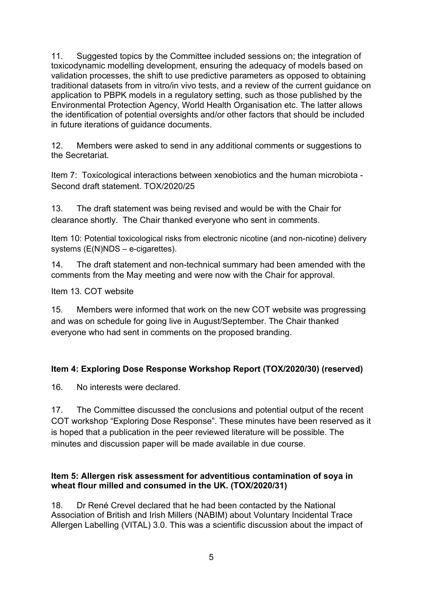11. Suggested topics by the Committee included sessions on; the integration of toxicodynamic modelling development, ensuring the adequacy of models based on validation processes, the shift to use predictive parameters as opposed to obtaining traditional datasets from in vitro/in vivo tests, and a review of the current guidance on application to PBPK models in a regulatory setting, such as those published by the Environmental Protection Agency, World Health Organisation etc. The latter allows the identification of potential oversights and/or other factors that should be included in future iterations of guidance documents.

12. Members were asked to send in any additional comments or suggestions to the Secretariat.

Item 7: Toxicological interactions between xenobiotics and the human microbiota - Second draft statement. TOX/2020/25

13. The draft statement was being revised and would be with the Chair for clearance shortly. The Chair thanked everyone who sent in comments.

Item 10: Potential toxicological risks from electronic nicotine (and non-nicotine) delivery systems (E(N)NDS – e-cigarettes).

14. The draft statement and non-technical summary had been amended with the comments from the May meeting and were now with the Chair for approval.

Item 13. COT website

15. Members were informed that work on the new COT website was progressing and was on schedule for going live in August/September. The Chair thanked everyone who had sent in comments on the proposed branding.

# **Item 4: Exploring Dose Response Workshop Report (TOX/2020/30) (reserved)**

16. No interests were declared.

17. The Committee discussed the conclusions and potential output of the recent COT workshop "Exploring Dose Response". These minutes have been reserved as it is hoped that a publication in the peer reviewed literature will be possible. The minutes and discussion paper will be made available in due course.

#### **Item 5: Allergen risk assessment for adventitious contamination of soya in wheat flour milled and consumed in the UK. (TOX/2020/31)**

18. Dr René Crevel declared that he had been contacted by the National Association of British and Irish Millers (NABIM) about Voluntary Incidental Trace Allergen Labelling (VITAL) 3.0. This was a scientific discussion about the impact of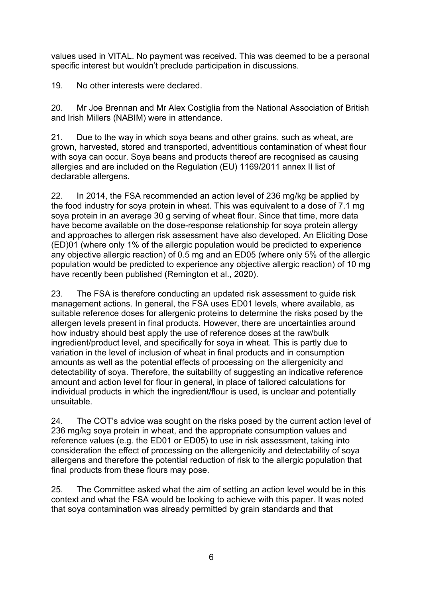values used in VITAL. No payment was received. This was deemed to be a personal specific interest but wouldn't preclude participation in discussions.

19. No other interests were declared.

20. Mr Joe Brennan and Mr Alex Costiglia from the National Association of British and Irish Millers (NABIM) were in attendance.

21. Due to the way in which soya beans and other grains, such as wheat, are grown, harvested, stored and transported, adventitious contamination of wheat flour with soya can occur. Soya beans and products thereof are recognised as causing allergies and are included on the Regulation (EU) 1169/2011 annex II list of declarable allergens.

22. In 2014, the FSA recommended an action level of 236 mg/kg be applied by the food industry for soya protein in wheat. This was equivalent to a dose of 7.1 mg soya protein in an average 30 g serving of wheat flour. Since that time, more data have become available on the dose-response relationship for soya protein allergy and approaches to allergen risk assessment have also developed. An Eliciting Dose (ED)01 (where only 1% of the allergic population would be predicted to experience any objective allergic reaction) of 0.5 mg and an ED05 (where only 5% of the allergic population would be predicted to experience any objective allergic reaction) of 10 mg have recently been published (Remington et al., 2020).

23. The FSA is therefore conducting an updated risk assessment to guide risk management actions. In general, the FSA uses ED01 levels, where available, as suitable reference doses for allergenic proteins to determine the risks posed by the allergen levels present in final products. However, there are uncertainties around how industry should best apply the use of reference doses at the raw/bulk ingredient/product level, and specifically for soya in wheat. This is partly due to variation in the level of inclusion of wheat in final products and in consumption amounts as well as the potential effects of processing on the allergenicity and detectability of soya. Therefore, the suitability of suggesting an indicative reference amount and action level for flour in general, in place of tailored calculations for individual products in which the ingredient/flour is used, is unclear and potentially unsuitable.

24. The COT's advice was sought on the risks posed by the current action level of 236 mg/kg soya protein in wheat, and the appropriate consumption values and reference values (e.g. the ED01 or ED05) to use in risk assessment, taking into consideration the effect of processing on the allergenicity and detectability of soya allergens and therefore the potential reduction of risk to the allergic population that final products from these flours may pose.

25. The Committee asked what the aim of setting an action level would be in this context and what the FSA would be looking to achieve with this paper. It was noted that soya contamination was already permitted by grain standards and that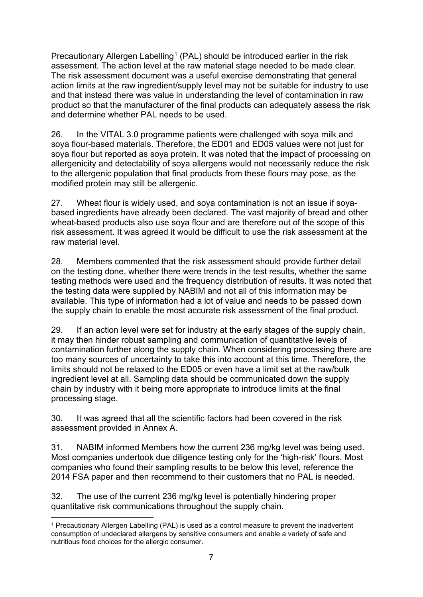Precautionary Allergen Labelling<sup>[1](#page-6-0)</sup> (PAL) should be introduced earlier in the risk assessment. The action level at the raw material stage needed to be made clear. The risk assessment document was a useful exercise demonstrating that general action limits at the raw ingredient/supply level may not be suitable for industry to use and that instead there was value in understanding the level of contamination in raw product so that the manufacturer of the final products can adequately assess the risk and determine whether PAL needs to be used.

26. In the VITAL 3.0 programme patients were challenged with soya milk and soya flour-based materials. Therefore, the ED01 and ED05 values were not just for soya flour but reported as soya protein. It was noted that the impact of processing on allergenicity and detectability of soya allergens would not necessarily reduce the risk to the allergenic population that final products from these flours may pose, as the modified protein may still be allergenic.

27. Wheat flour is widely used, and soya contamination is not an issue if soyabased ingredients have already been declared. The vast majority of bread and other wheat-based products also use soya flour and are therefore out of the scope of this risk assessment. It was agreed it would be difficult to use the risk assessment at the raw material level.

28. Members commented that the risk assessment should provide further detail on the testing done, whether there were trends in the test results, whether the same testing methods were used and the frequency distribution of results. It was noted that the testing data were supplied by NABIM and not all of this information may be available. This type of information had a lot of value and needs to be passed down the supply chain to enable the most accurate risk assessment of the final product.

29. If an action level were set for industry at the early stages of the supply chain, it may then hinder robust sampling and communication of quantitative levels of contamination further along the supply chain. When considering processing there are too many sources of uncertainty to take this into account at this time. Therefore, the limits should not be relaxed to the ED05 or even have a limit set at the raw/bulk ingredient level at all. Sampling data should be communicated down the supply chain by industry with it being more appropriate to introduce limits at the final processing stage.

30. It was agreed that all the scientific factors had been covered in the risk assessment provided in Annex A.

31. NABIM informed Members how the current 236 mg/kg level was being used. Most companies undertook due diligence testing only for the 'high-risk' flours. Most companies who found their sampling results to be below this level, reference the 2014 FSA paper and then recommend to their customers that no PAL is needed.

32. The use of the current 236 mg/kg level is potentially hindering proper quantitative risk communications throughout the supply chain.

<span id="page-6-0"></span><sup>1</sup> Precautionary Allergen Labelling (PAL) is used as a control measure to prevent the inadvertent consumption of undeclared allergens by sensitive consumers and enable a variety of safe and nutritious food choices for the allergic consumer.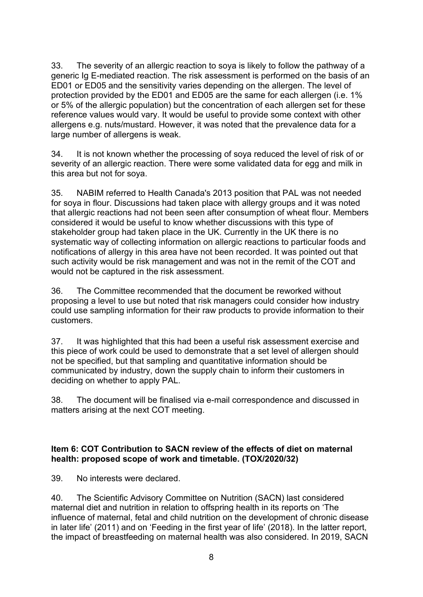33. The severity of an allergic reaction to soya is likely to follow the pathway of a generic Ig E-mediated reaction. The risk assessment is performed on the basis of an ED01 or ED05 and the sensitivity varies depending on the allergen. The level of protection provided by the ED01 and ED05 are the same for each allergen (i.e. 1% or 5% of the allergic population) but the concentration of each allergen set for these reference values would vary. It would be useful to provide some context with other allergens e.g. nuts/mustard. However, it was noted that the prevalence data for a large number of allergens is weak.

34. It is not known whether the processing of soya reduced the level of risk of or severity of an allergic reaction. There were some validated data for egg and milk in this area but not for soya.

35. NABIM referred to Health Canada's 2013 position that PAL was not needed for soya in flour. Discussions had taken place with allergy groups and it was noted that allergic reactions had not been seen after consumption of wheat flour. Members considered it would be useful to know whether discussions with this type of stakeholder group had taken place in the UK. Currently in the UK there is no systematic way of collecting information on allergic reactions to particular foods and notifications of allergy in this area have not been recorded. It was pointed out that such activity would be risk management and was not in the remit of the COT and would not be captured in the risk assessment.

36. The Committee recommended that the document be reworked without proposing a level to use but noted that risk managers could consider how industry could use sampling information for their raw products to provide information to their customers.

37. It was highlighted that this had been a useful risk assessment exercise and this piece of work could be used to demonstrate that a set level of allergen should not be specified, but that sampling and quantitative information should be communicated by industry, down the supply chain to inform their customers in deciding on whether to apply PAL.

38. The document will be finalised via e-mail correspondence and discussed in matters arising at the next COT meeting.

#### **Item 6: COT Contribution to SACN review of the effects of diet on maternal health: proposed scope of work and timetable. (TOX/2020/32)**

39. No interests were declared.

40. The Scientific Advisory Committee on Nutrition (SACN) last considered maternal diet and nutrition in relation to offspring health in its reports on 'The influence of maternal, fetal and child nutrition on the development of chronic disease in later life' (2011) and on 'Feeding in the first year of life' (2018). In the latter report, the impact of breastfeeding on maternal health was also considered. In 2019, SACN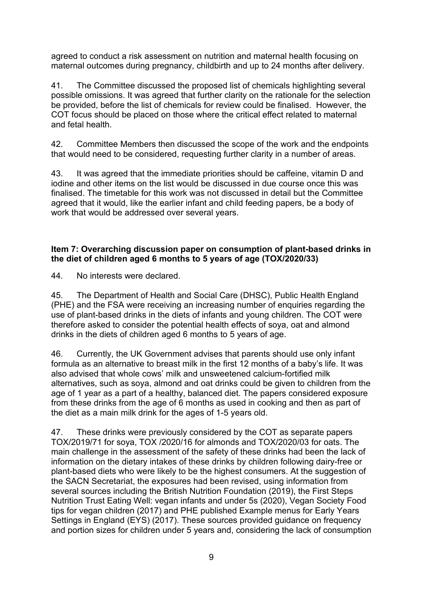agreed to conduct a risk assessment on nutrition and maternal health focusing on maternal outcomes during pregnancy, childbirth and up to 24 months after delivery.

41. The Committee discussed the proposed list of chemicals highlighting several possible omissions. It was agreed that further clarity on the rationale for the selection be provided, before the list of chemicals for review could be finalised. However, the COT focus should be placed on those where the critical effect related to maternal and fetal health.

42. Committee Members then discussed the scope of the work and the endpoints that would need to be considered, requesting further clarity in a number of areas.

43. It was agreed that the immediate priorities should be caffeine, vitamin D and iodine and other items on the list would be discussed in due course once this was finalised. The timetable for this work was not discussed in detail but the Committee agreed that it would, like the earlier infant and child feeding papers, be a body of work that would be addressed over several years.

#### **Item 7: Overarching discussion paper on consumption of plant-based drinks in the diet of children aged 6 months to 5 years of age (TOX/2020/33)**

44. No interests were declared.

45. The Department of Health and Social Care (DHSC), Public Health England (PHE) and the FSA were receiving an increasing number of enquiries regarding the use of plant-based drinks in the diets of infants and young children. The COT were therefore asked to consider the potential health effects of soya, oat and almond drinks in the diets of children aged 6 months to 5 years of age.

46. Currently, the UK Government advises that parents should use only infant formula as an alternative to breast milk in the first 12 months of a baby's life. It was also advised that whole cows' milk and unsweetened calcium-fortified milk alternatives, such as soya, almond and oat drinks could be given to children from the age of 1 year as a part of a healthy, balanced diet. The papers considered exposure from these drinks from the age of 6 months as used in cooking and then as part of the diet as a main milk drink for the ages of 1-5 years old.

47. These drinks were previously considered by the COT as separate papers TOX/2019/71 for soya, TOX /2020/16 for almonds and TOX/2020/03 for oats. The main challenge in the assessment of the safety of these drinks had been the lack of information on the dietary intakes of these drinks by children following dairy-free or plant-based diets who were likely to be the highest consumers. At the suggestion of the SACN Secretariat, the exposures had been revised, using information from several sources including the British Nutrition Foundation (2019), the First Steps Nutrition Trust Eating Well: vegan infants and under 5s (2020), Vegan Society Food tips for vegan children (2017) and PHE published Example menus for Early Years Settings in England (EYS) (2017). These sources provided guidance on frequency and portion sizes for children under 5 years and, considering the lack of consumption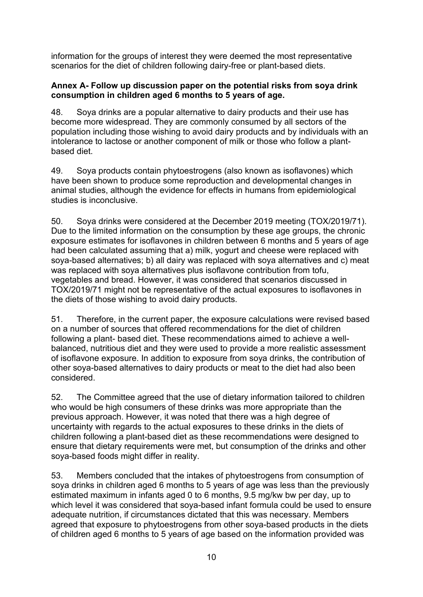information for the groups of interest they were deemed the most representative scenarios for the diet of children following dairy-free or plant-based diets.

#### **Annex A- Follow up discussion paper on the potential risks from soya drink consumption in children aged 6 months to 5 years of age.**

48. Soya drinks are a popular alternative to dairy products and their use has become more widespread. They are commonly consumed by all sectors of the population including those wishing to avoid dairy products and by individuals with an intolerance to lactose or another component of milk or those who follow a plantbased diet.

49. Soya products contain phytoestrogens (also known as isoflavones) which have been shown to produce some reproduction and developmental changes in animal studies, although the evidence for effects in humans from epidemiological studies is inconclusive.

50. Soya drinks were considered at the December 2019 meeting (TOX/2019/71). Due to the limited information on the consumption by these age groups, the chronic exposure estimates for isoflavones in children between 6 months and 5 years of age had been calculated assuming that a) milk, yogurt and cheese were replaced with soya-based alternatives; b) all dairy was replaced with soya alternatives and c) meat was replaced with soya alternatives plus isoflavone contribution from tofu, vegetables and bread. However, it was considered that scenarios discussed in TOX/2019/71 might not be representative of the actual exposures to isoflavones in the diets of those wishing to avoid dairy products.

51. Therefore, in the current paper, the exposure calculations were revised based on a number of sources that offered recommendations for the diet of children following a plant- based diet. These recommendations aimed to achieve a wellbalanced, nutritious diet and they were used to provide a more realistic assessment of isoflavone exposure. In addition to exposure from soya drinks, the contribution of other soya-based alternatives to dairy products or meat to the diet had also been considered.

52. The Committee agreed that the use of dietary information tailored to children who would be high consumers of these drinks was more appropriate than the previous approach. However, it was noted that there was a high degree of uncertainty with regards to the actual exposures to these drinks in the diets of children following a plant-based diet as these recommendations were designed to ensure that dietary requirements were met, but consumption of the drinks and other soya-based foods might differ in reality.

53. Members concluded that the intakes of phytoestrogens from consumption of soya drinks in children aged 6 months to 5 years of age was less than the previously estimated maximum in infants aged 0 to 6 months, 9.5 mg/kw bw per day, up to which level it was considered that soya-based infant formula could be used to ensure adequate nutrition, if circumstances dictated that this was necessary. Members agreed that exposure to phytoestrogens from other soya-based products in the diets of children aged 6 months to 5 years of age based on the information provided was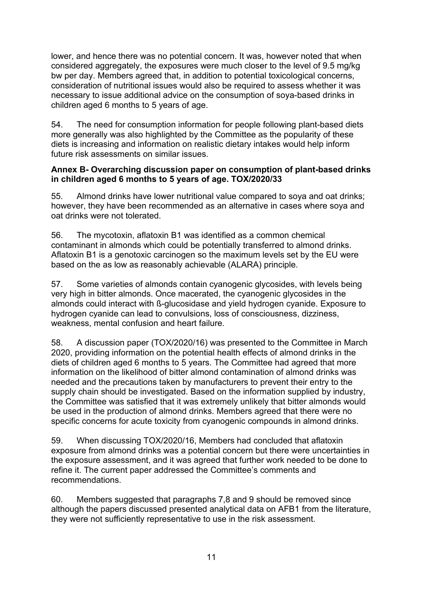lower, and hence there was no potential concern. It was, however noted that when considered aggregately, the exposures were much closer to the level of 9.5 mg/kg bw per day. Members agreed that, in addition to potential toxicological concerns, consideration of nutritional issues would also be required to assess whether it was necessary to issue additional advice on the consumption of soya-based drinks in children aged 6 months to 5 years of age.

54. The need for consumption information for people following plant-based diets more generally was also highlighted by the Committee as the popularity of these diets is increasing and information on realistic dietary intakes would help inform future risk assessments on similar issues.

#### **Annex B- Overarching discussion paper on consumption of plant-based drinks in children aged 6 months to 5 years of age. TOX/2020/33**

55. Almond drinks have lower nutritional value compared to soya and oat drinks; however, they have been recommended as an alternative in cases where soya and oat drinks were not tolerated.

56. The mycotoxin, aflatoxin B1 was identified as a common chemical contaminant in almonds which could be potentially transferred to almond drinks. Aflatoxin B1 is a genotoxic carcinogen so the maximum levels set by the EU were based on the as low as reasonably achievable (ALARA) principle.

57. Some varieties of almonds contain cyanogenic glycosides, with levels being very high in bitter almonds. Once macerated, the cyanogenic glycosides in the almonds could interact with ß-glucosidase and yield hydrogen cyanide. Exposure to hydrogen cyanide can lead to convulsions, loss of consciousness, dizziness, weakness, mental confusion and heart failure.

58. A discussion paper (TOX/2020/16) was presented to the Committee in March 2020, providing information on the potential health effects of almond drinks in the diets of children aged 6 months to 5 years. The Committee had agreed that more information on the likelihood of bitter almond contamination of almond drinks was needed and the precautions taken by manufacturers to prevent their entry to the supply chain should be investigated. Based on the information supplied by industry, the Committee was satisfied that it was extremely unlikely that bitter almonds would be used in the production of almond drinks. Members agreed that there were no specific concerns for acute toxicity from cyanogenic compounds in almond drinks.

59. When discussing TOX/2020/16, Members had concluded that aflatoxin exposure from almond drinks was a potential concern but there were uncertainties in the exposure assessment, and it was agreed that further work needed to be done to refine it. The current paper addressed the Committee's comments and recommendations.

60. Members suggested that paragraphs 7,8 and 9 should be removed since although the papers discussed presented analytical data on AFB1 from the literature, they were not sufficiently representative to use in the risk assessment.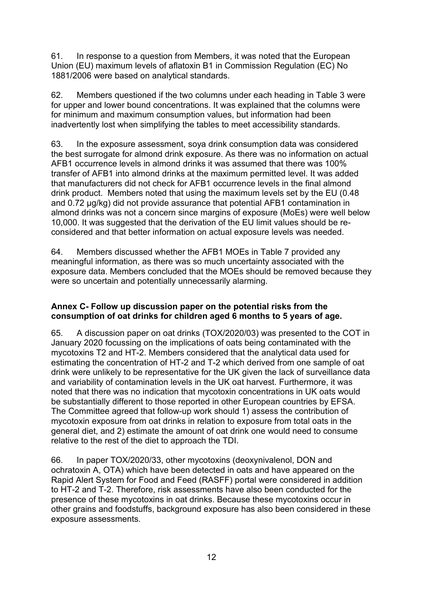61. In response to a question from Members, it was noted that the European Union (EU) maximum levels of aflatoxin B1 in Commission Regulation (EC) No 1881/2006 were based on analytical standards.

62. Members questioned if the two columns under each heading in Table 3 were for upper and lower bound concentrations. It was explained that the columns were for minimum and maximum consumption values, but information had been inadvertently lost when simplifying the tables to meet accessibility standards.

63. In the exposure assessment, soya drink consumption data was considered the best surrogate for almond drink exposure. As there was no information on actual AFB1 occurrence levels in almond drinks it was assumed that there was 100% transfer of AFB1 into almond drinks at the maximum permitted level. It was added that manufacturers did not check for AFB1 occurrence levels in the final almond drink product. Members noted that using the maximum levels set by the EU (0.48 and 0.72 µg/kg) did not provide assurance that potential AFB1 contamination in almond drinks was not a concern since margins of exposure (MoEs) were well below 10,000. It was suggested that the derivation of the EU limit values should be reconsidered and that better information on actual exposure levels was needed.

64. Members discussed whether the AFB1 MOEs in Table 7 provided any meaningful information, as there was so much uncertainty associated with the exposure data. Members concluded that the MOEs should be removed because they were so uncertain and potentially unnecessarily alarming.

#### **Annex C- Follow up discussion paper on the potential risks from the consumption of oat drinks for children aged 6 months to 5 years of age.**

65. A discussion paper on oat drinks (TOX/2020/03) was presented to the COT in January 2020 focussing on the implications of oats being contaminated with the mycotoxins T2 and HT-2. Members considered that the analytical data used for estimating the concentration of HT-2 and T-2 which derived from one sample of oat drink were unlikely to be representative for the UK given the lack of surveillance data and variability of contamination levels in the UK oat harvest. Furthermore, it was noted that there was no indication that mycotoxin concentrations in UK oats would be substantially different to those reported in other European countries by EFSA. The Committee agreed that follow-up work should 1) assess the contribution of mycotoxin exposure from oat drinks in relation to exposure from total oats in the general diet, and 2) estimate the amount of oat drink one would need to consume relative to the rest of the diet to approach the TDI.

66. In paper TOX/2020/33, other mycotoxins (deoxynivalenol, DON and ochratoxin A, OTA) which have been detected in oats and have appeared on the Rapid Alert System for Food and Feed (RASFF) portal were considered in addition to HT-2 and T-2. Therefore, risk assessments have also been conducted for the presence of these mycotoxins in oat drinks. Because these mycotoxins occur in other grains and foodstuffs, background exposure has also been considered in these exposure assessments.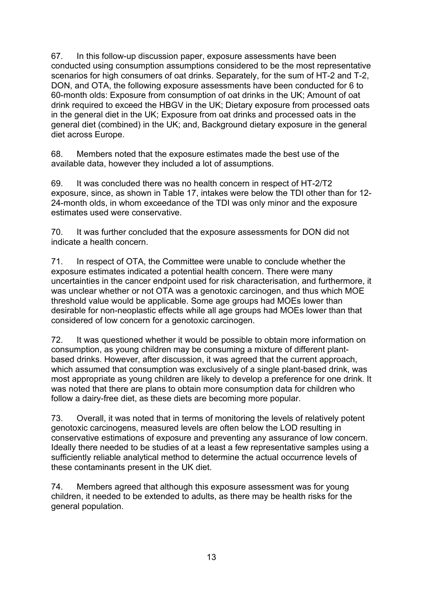67. In this follow-up discussion paper, exposure assessments have been conducted using consumption assumptions considered to be the most representative scenarios for high consumers of oat drinks. Separately, for the sum of HT-2 and T-2, DON, and OTA, the following exposure assessments have been conducted for 6 to 60-month olds: Exposure from consumption of oat drinks in the UK; Amount of oat drink required to exceed the HBGV in the UK; Dietary exposure from processed oats in the general diet in the UK; Exposure from oat drinks and processed oats in the general diet (combined) in the UK; and, Background dietary exposure in the general diet across Europe.

68. Members noted that the exposure estimates made the best use of the available data, however they included a lot of assumptions.

69. It was concluded there was no health concern in respect of HT-2/T2 exposure, since, as shown in Table 17, intakes were below the TDI other than for 12- 24-month olds, in whom exceedance of the TDI was only minor and the exposure estimates used were conservative.

70. It was further concluded that the exposure assessments for DON did not indicate a health concern.

71. In respect of OTA, the Committee were unable to conclude whether the exposure estimates indicated a potential health concern. There were many uncertainties in the cancer endpoint used for risk characterisation, and furthermore, it was unclear whether or not OTA was a genotoxic carcinogen, and thus which MOE threshold value would be applicable. Some age groups had MOEs lower than desirable for non-neoplastic effects while all age groups had MOEs lower than that considered of low concern for a genotoxic carcinogen.

72. It was questioned whether it would be possible to obtain more information on consumption, as young children may be consuming a mixture of different plantbased drinks. However, after discussion, it was agreed that the current approach, which assumed that consumption was exclusively of a single plant-based drink, was most appropriate as young children are likely to develop a preference for one drink. It was noted that there are plans to obtain more consumption data for children who follow a dairy-free diet, as these diets are becoming more popular.

73. Overall, it was noted that in terms of monitoring the levels of relatively potent genotoxic carcinogens, measured levels are often below the LOD resulting in conservative estimations of exposure and preventing any assurance of low concern. Ideally there needed to be studies of at a least a few representative samples using a sufficiently reliable analytical method to determine the actual occurrence levels of these contaminants present in the UK diet.

74. Members agreed that although this exposure assessment was for young children, it needed to be extended to adults, as there may be health risks for the general population.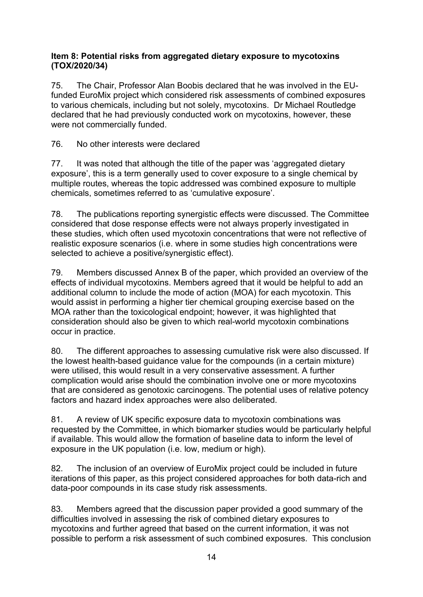#### **Item 8: Potential risks from aggregated dietary exposure to mycotoxins (TOX/2020/34)**

75. The Chair, Professor Alan Boobis declared that he was involved in the EUfunded EuroMix project which considered risk assessments of combined exposures to various chemicals, including but not solely, mycotoxins. Dr Michael Routledge declared that he had previously conducted work on mycotoxins, however, these were not commercially funded.

76. No other interests were declared

77. It was noted that although the title of the paper was 'aggregated dietary exposure', this is a term generally used to cover exposure to a single chemical by multiple routes, whereas the topic addressed was combined exposure to multiple chemicals, sometimes referred to as 'cumulative exposure'.

78. The publications reporting synergistic effects were discussed. The Committee considered that dose response effects were not always properly investigated in these studies, which often used mycotoxin concentrations that were not reflective of realistic exposure scenarios (i.e. where in some studies high concentrations were selected to achieve a positive/synergistic effect).

79. Members discussed Annex B of the paper, which provided an overview of the effects of individual mycotoxins. Members agreed that it would be helpful to add an additional column to include the mode of action (MOA) for each mycotoxin. This would assist in performing a higher tier chemical grouping exercise based on the MOA rather than the toxicological endpoint; however, it was highlighted that consideration should also be given to which real-world mycotoxin combinations occur in practice.

80. The different approaches to assessing cumulative risk were also discussed. If the lowest health-based guidance value for the compounds (in a certain mixture) were utilised, this would result in a very conservative assessment. A further complication would arise should the combination involve one or more mycotoxins that are considered as genotoxic carcinogens. The potential uses of relative potency factors and hazard index approaches were also deliberated.

81. A review of UK specific exposure data to mycotoxin combinations was requested by the Committee, in which biomarker studies would be particularly helpful if available. This would allow the formation of baseline data to inform the level of exposure in the UK population (i.e. low, medium or high).

82. The inclusion of an overview of EuroMix project could be included in future iterations of this paper, as this project considered approaches for both data-rich and data-poor compounds in its case study risk assessments.

83. Members agreed that the discussion paper provided a good summary of the difficulties involved in assessing the risk of combined dietary exposures to mycotoxins and further agreed that based on the current information, it was not possible to perform a risk assessment of such combined exposures. This conclusion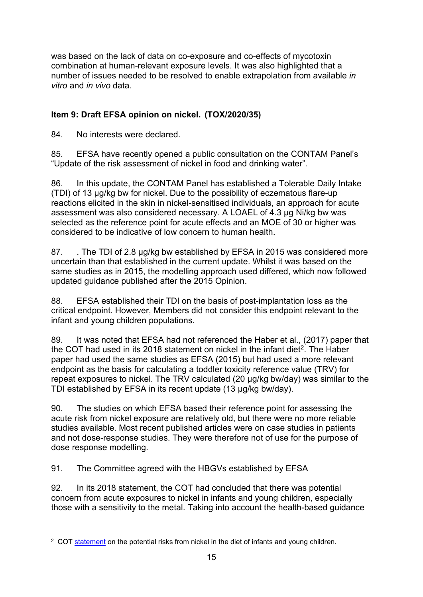was based on the lack of data on co-exposure and co-effects of mycotoxin combination at human-relevant exposure levels. It was also highlighted that a number of issues needed to be resolved to enable extrapolation from available *in vitro* and *in vivo* data.

# **Item 9: Draft EFSA opinion on nickel. (TOX/2020/35)**

84. No interests were declared.

85. EFSA have recently opened a public consultation on the CONTAM Panel's "Update of the risk assessment of nickel in food and drinking water".

86. In this update, the CONTAM Panel has established a Tolerable Daily Intake (TDI) of 13 µg/kg bw for nickel. Due to the possibility of eczematous flare-up reactions elicited in the skin in nickel-sensitised individuals, an approach for acute assessment was also considered necessary. A LOAEL of 4.3 µg Ni/kg bw was selected as the reference point for acute effects and an MOE of 30 or higher was considered to be indicative of low concern to human health.

87. . The TDI of 2.8 µg/kg bw established by EFSA in 2015 was considered more uncertain than that established in the current update. Whilst it was based on the same studies as in 2015, the modelling approach used differed, which now followed updated guidance published after the 2015 Opinion.

88. EFSA established their TDI on the basis of post-implantation loss as the critical endpoint. However, Members did not consider this endpoint relevant to the infant and young children populations.

89. It was noted that EFSA had not referenced the Haber et al., (2017) paper that the COT had used in its 2018 statement on nickel in the infant diet<sup>2</sup>. The Haber paper had used the same studies as EFSA (2015) but had used a more relevant endpoint as the basis for calculating a toddler toxicity reference value (TRV) for repeat exposures to nickel. The TRV calculated (20 µg/kg bw/day) was similar to the TDI established by EFSA in its recent update (13 µg/kg bw/day).

90. The studies on which EFSA based their reference point for assessing the acute risk from nickel exposure are relatively old, but there were no more reliable studies available. Most recent published articles were on case studies in patients and not dose-response studies. They were therefore not of use for the purpose of dose response modelling.

91. The Committee agreed with the HBGVs established by EFSA

92. In its 2018 statement, the COT had concluded that there was potential concern from acute exposures to nickel in infants and young children, especially those with a sensitivity to the metal. Taking into account the health-based guidance

<span id="page-14-0"></span><sup>&</sup>lt;sup>2</sup> COT [statement](https://cot.food.gov.uk/cotstatements/cotstatementsyrs/cot-statements-2018/cot-statement-on-the-potential-risks-from-cadmium/statement-on-potential-risks-from-nickel-in-the-diet-of-infants-aged-0-to-12-months-and-children-aged-1-to-5-years) on the potential risks from nickel in the diet of infants and young children.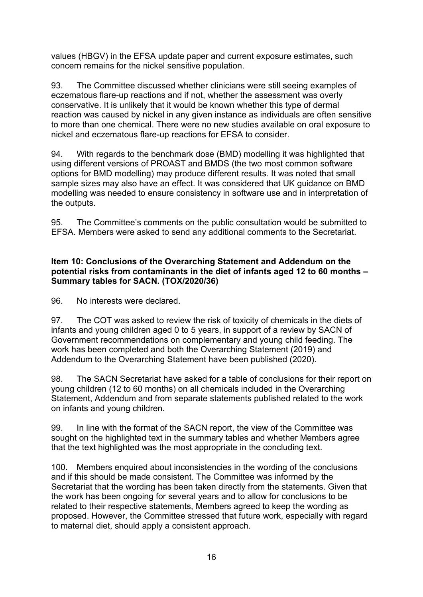values (HBGV) in the EFSA update paper and current exposure estimates, such concern remains for the nickel sensitive population.

93. The Committee discussed whether clinicians were still seeing examples of eczematous flare-up reactions and if not, whether the assessment was overly conservative. It is unlikely that it would be known whether this type of dermal reaction was caused by nickel in any given instance as individuals are often sensitive to more than one chemical. There were no new studies available on oral exposure to nickel and eczematous flare-up reactions for EFSA to consider.

94. With regards to the benchmark dose (BMD) modelling it was highlighted that using different versions of PROAST and BMDS (the two most common software options for BMD modelling) may produce different results. It was noted that small sample sizes may also have an effect. It was considered that UK guidance on BMD modelling was needed to ensure consistency in software use and in interpretation of the outputs.

95. The Committee's comments on the public consultation would be submitted to EFSA. Members were asked to send any additional comments to the Secretariat.

#### **Item 10: Conclusions of the Overarching Statement and Addendum on the potential risks from contaminants in the diet of infants aged 12 to 60 months – Summary tables for SACN. (TOX/2020/36)**

96. No interests were declared.

97. The COT was asked to review the risk of toxicity of chemicals in the diets of infants and young children aged 0 to 5 years, in support of a review by SACN of Government recommendations on complementary and young child feeding. The work has been completed and both the Overarching Statement (2019) and Addendum to the Overarching Statement have been published (2020).

98. The SACN Secretariat have asked for a table of conclusions for their report on young children (12 to 60 months) on all chemicals included in the Overarching Statement, Addendum and from separate statements published related to the work on infants and young children.

99. In line with the format of the SACN report, the view of the Committee was sought on the highlighted text in the summary tables and whether Members agree that the text highlighted was the most appropriate in the concluding text.

100. Members enquired about inconsistencies in the wording of the conclusions and if this should be made consistent. The Committee was informed by the Secretariat that the wording has been taken directly from the statements. Given that the work has been ongoing for several years and to allow for conclusions to be related to their respective statements, Members agreed to keep the wording as proposed. However, the Committee stressed that future work, especially with regard to maternal diet, should apply a consistent approach.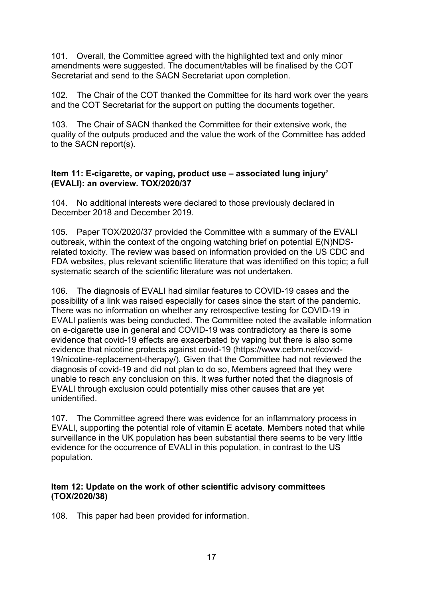101. Overall, the Committee agreed with the highlighted text and only minor amendments were suggested. The document/tables will be finalised by the COT Secretariat and send to the SACN Secretariat upon completion.

102. The Chair of the COT thanked the Committee for its hard work over the years and the COT Secretariat for the support on putting the documents together.

103. The Chair of SACN thanked the Committee for their extensive work, the quality of the outputs produced and the value the work of the Committee has added to the SACN report(s).

#### **Item 11: E-cigarette, or vaping, product use – associated lung injury' (EVALI): an overview. TOX/2020/37**

104. No additional interests were declared to those previously declared in December 2018 and December 2019.

105. Paper TOX/2020/37 provided the Committee with a summary of the EVALI outbreak, within the context of the ongoing watching brief on potential E(N)NDSrelated toxicity. The review was based on information provided on the US CDC and FDA websites, plus relevant scientific literature that was identified on this topic; a full systematic search of the scientific literature was not undertaken.

106. The diagnosis of EVALI had similar features to COVID-19 cases and the possibility of a link was raised especially for cases since the start of the pandemic. There was no information on whether any retrospective testing for COVID-19 in EVALI patients was being conducted. The Committee noted the available information on e-cigarette use in general and COVID-19 was contradictory as there is some evidence that covid-19 effects are exacerbated by vaping but there is also some evidence that nicotine protects against covid-19 (https://www.cebm.net/covid-19/nicotine-replacement-therapy/). Given that the Committee had not reviewed the diagnosis of covid-19 and did not plan to do so, Members agreed that they were unable to reach any conclusion on this. It was further noted that the diagnosis of EVALI through exclusion could potentially miss other causes that are yet unidentified.

107. The Committee agreed there was evidence for an inflammatory process in EVALI, supporting the potential role of vitamin E acetate. Members noted that while surveillance in the UK population has been substantial there seems to be very little evidence for the occurrence of EVALI in this population, in contrast to the US population.

#### **Item 12: Update on the work of other scientific advisory committees (TOX/2020/38)**

108. This paper had been provided for information.